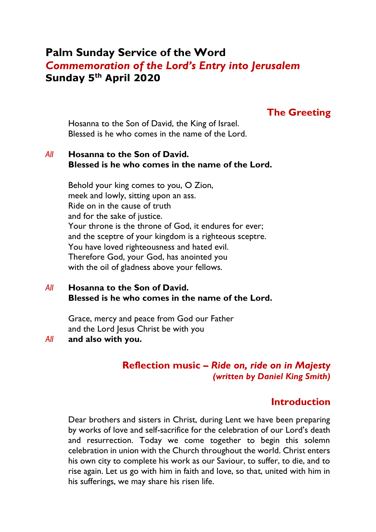# **Palm Sunday Service of the Word** *Commemoration of the Lord's Entry into Jerusalem* **Sunday 5th April 2020**

### **The Greeting**

Hosanna to the Son of David, the King of Israel. Blessed is he who comes in the name of the Lord.

### *All* **Hosanna to the Son of David. Blessed is he who comes in the name of the Lord.**

Behold your king comes to you, O Zion, meek and lowly, sitting upon an ass. Ride on in the cause of truth and for the sake of justice. Your throne is the throne of God, it endures for ever; and the sceptre of your kingdom is a righteous sceptre. You have loved righteousness and hated evil. Therefore God, your God, has anointed you with the oil of gladness above your fellows.

### *All* **Hosanna to the Son of David. Blessed is he who comes in the name of the Lord.**

Grace, mercy and peace from God our Father and the Lord Jesus Christ be with you

#### *All* **and also with you.**

### **Reflection music –** *Ride on, ride on in Majesty (written by Daniel King Smith)*

### **Introduction**

Dear brothers and sisters in Christ, during Lent we have been preparing by works of love and self-sacrifice for the celebration of our Lord's death and resurrection. Today we come together to begin this solemn celebration in union with the Church throughout the world. Christ enters his own city to complete his work as our Saviour, to suffer, to die, and to rise again. Let us go with him in faith and love, so that, united with him in his sufferings, we may share his risen life.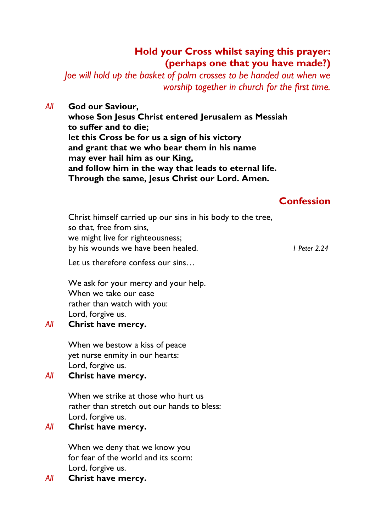## **Hold your Cross whilst saying this prayer: (perhaps one that you have made?)**

*Joe will hold up the basket of palm crosses to be handed out when we worship together in church for the first time.*

### *All* **God our Saviour,**

**whose Son Jesus Christ entered Jerusalem as Messiah to suffer and to die; let this Cross be for us a sign of his victory and grant that we who bear them in his name may ever hail him as our King, and follow him in the way that leads to eternal life. Through the same, Jesus Christ our Lord. Amen.**

## **Confession**

Christ himself carried up our sins in his body to the tree, so that, free from sins, we might live for righteousness; by his wounds we have been healed. *1 Peter 2.24*

Let us therefore confess our sins…

We ask for your mercy and your help. When we take our ease rather than watch with you: Lord, forgive us.

### *All* **Christ have mercy.**

When we bestow a kiss of peace yet nurse enmity in our hearts: Lord, forgive us.

### *All* **Christ have mercy.**

When we strike at those who hurt us rather than stretch out our hands to bless: Lord, forgive us.

### *All* **Christ have mercy.**

When we deny that we know you for fear of the world and its scorn: Lord, forgive us.

### *All* **Christ have mercy.**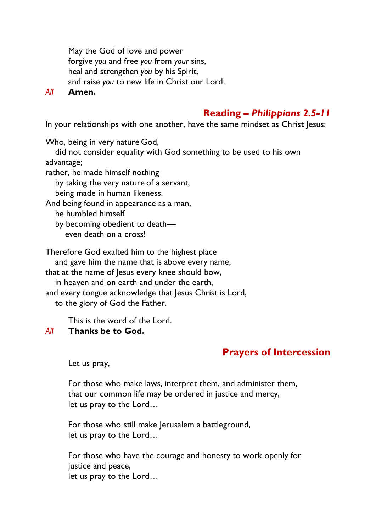May the God of love and power forgive *you* and free *you* from *your* sins, heal and strengthen *you* by his Spirit, and raise *you* to new life in Christ our Lord.

*All* **Amen.**

# **Reading –** *Philippians 2.5-11*

In your relationships with one another, have the same mindset as Christ Jesus:

Who, being in very nature God,

 did not consider equality with God something to be used to his own advantage;

rather, he made himself nothing

by taking the very nature of a servant,

being made in human likeness.

And being found in appearance as a man,

he humbled himself

by becoming obedient to death—

even death on a cross!

Therefore God exalted him to the highest place and gave him the name that is above every name,

that at the name of Jesus every knee should bow, in heaven and on earth and under the earth, and every tongue acknowledge that Jesus Christ is Lord,

to the glory of God the Father.

This is the word of the Lord.

### *All* **Thanks be to God.**

# **Prayers of Intercession**

Let us pray,

For those who make laws, interpret them, and administer them, that our common life may be ordered in justice and mercy, let us pray to the Lord…

For those who still make Jerusalem a battleground, let us pray to the Lord…

For those who have the courage and honesty to work openly for justice and peace, let us pray to the Lord…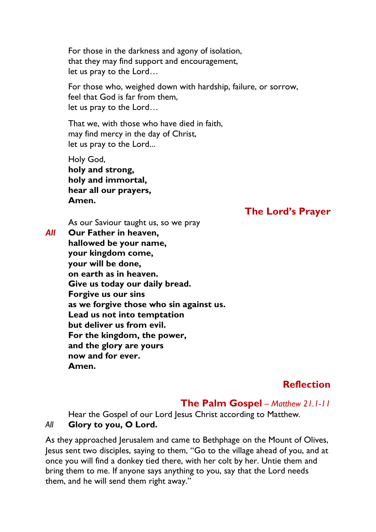For those in the darkness and agony of isolation, that they may find support and encouragement, let us pray to the Lord…

For those who, weighed down with hardship, failure, or sorrow, feel that God is far from them, let us pray to the Lord…

That we, with those who have died in faith, may find mercy in the day of Christ, let us pray to the Lord...

Holy God, **holy and strong, holy and immortal, hear all our prayers, Amen.**

## **The Lord's Prayer**

As our Saviour taught us, so we pray *All* **Our Father in heaven, hallowed be your name,**

**your kingdom come, your will be done, on earth as in heaven. Give us today our daily bread. Forgive us our sins as we forgive those who sin against us. Lead us not into temptation but deliver us from evil. For the kingdom, the power, and the glory are yours now and for ever. Amen.**

# **Reflection**

# **The Palm Gospel** *– Matthew 21.1-11*

Hear the Gospel of our Lord Jesus Christ according to Matthew*. All* **Glory to you, O Lord.**

### As they approached Jerusalem and came to Bethphage on the Mount of Olives, Jesus sent two disciples, saying to them, "Go to the village ahead of you, and at once you will find a donkey tied there, with her colt by her. Untie them and bring them to me. If anyone says anything to you, say that the Lord needs them, and he will send them right away."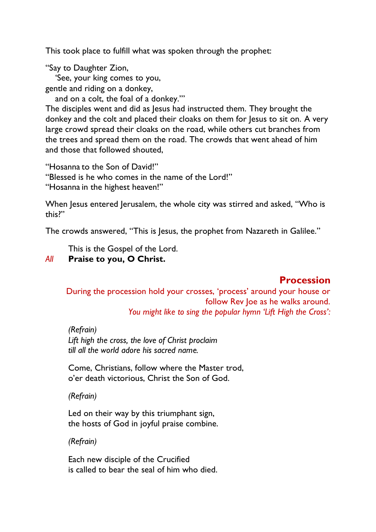This took place to fulfill what was spoken through the prophet:

"Say to Daughter Zion,

 'See, your king comes to you, gentle and riding on a donkey,

 and on a colt, the foal of a donkey.'" The disciples went and did as Jesus had instructed them. They brought the

donkey and the colt and placed their cloaks on them for Jesus to sit on. A very large crowd spread their cloaks on the road, while others cut branches from the trees and spread them on the road. The crowds that went ahead of him and those that followed shouted,

"Hosanna to the Son of David!"

"Blessed is he who comes in the name of the Lord!"

"Hosanna in the highest heaven!"

When Jesus entered Jerusalem, the whole city was stirred and asked, "Who is this?"

The crowds answered, "This is Jesus, the prophet from Nazareth in Galilee."

This is the Gospel of the Lord.

### *All* **Praise to you, O Christ.**

# **Procession**

During the procession hold your crosses, 'process' around your house or follow Rev Joe as he walks around. *You might like to sing the popular hymn 'Lift High the Cross':*

*(Refrain) Lift high the cross, the love of Christ proclaim till all the world adore his sacred name.*

Come, Christians, follow where the Master trod, o'er death victorious, Christ the Son of God.

### *(Refrain)*

Led on their way by this triumphant sign, the hosts of God in joyful praise combine.

### *(Refrain)*

Each new disciple of the Crucified is called to bear the seal of him who died.